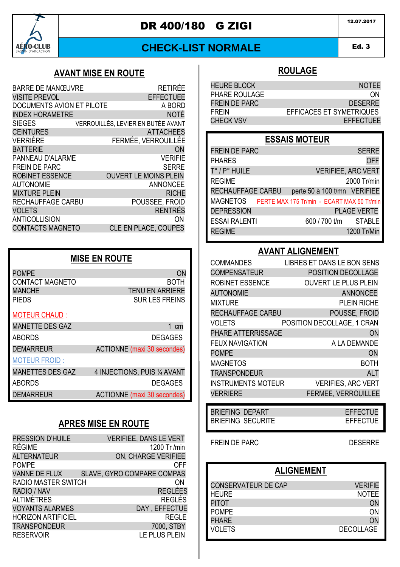

# DR 400/180 G ZIGI 2007.2017

### **CHECK-LIST NORMALE**

#### Ed. 3 AMD 1

# **AVANT MISE EN ROUTE**

| <b>BARRE DE MANŒUVRE</b>  | RFTIRFF                            |
|---------------------------|------------------------------------|
| <b>VISITE PREVOL</b>      | <b>EFFECTUEE</b>                   |
| DOCUMENTS AVION ET PILOTE | A BORD                             |
| <b>INDEX HORAMETRE</b>    | <b>NOTÉ</b>                        |
| <b>SIEGES</b>             | VERROUILLÉS. LEVIER EN BUTÉE AVANT |
| <b>CEINTURES</b>          | <b>ATTACHEES</b>                   |
| <b>VERRIÈRE</b>           | FERMÉE. VERROUILLÉE                |
| <b>BATTERIE</b>           | ON                                 |
| PANNEAU D'ALARME          | <b>VERIFIE</b>                     |
| <b>FREIN DE PARC</b>      | <b>SERRE</b>                       |
| <b>ROBINET ESSENCE</b>    | <b>OUVERT LE MOINS PLEIN</b>       |
| <b>AUTONOMIE</b>          | ANNONCEE                           |
| <b>MIXTURE PLEIN</b>      | <b>RICHE</b>                       |
| RECHAUFFAGE CARBU         | POUSSEE, FROID                     |
| <b>VOLETS</b>             | <b>RENTRÉS</b>                     |
| <b>ANTICOLLISION</b>      | ΟN                                 |
| <b>CONTACTS MAGNETO</b>   | <b>CLE EN PLACE, COUPES</b>        |

| <b>MISE EN ROUTE</b>    |                                    |  |
|-------------------------|------------------------------------|--|
| <b>POMPE</b>            | ON                                 |  |
| <b>CONTACT MAGNETO</b>  | BOTH                               |  |
| <b>MANCHE</b>           | <b>TENU EN ARRIERE</b>             |  |
| <b>PIFDS</b>            | <b>SUR LES FREINS</b>              |  |
| <b>MOTEUR CHAUD:</b>    |                                    |  |
| <b>MANETTE DES GAZ</b>  | 1 cm                               |  |
| <b>ABORDS</b>           | <b>DEGAGES</b>                     |  |
| <b>DEMARREUR</b>        | <b>ACTIONNE</b> (maxi 30 secondes) |  |
| <b>MOTEUR FROID:</b>    |                                    |  |
| <b>MANETTES DES GAZ</b> | 4 INJECTIONS, PUIS 1/4 AVANT       |  |
| <b>ABORDS</b>           | <b>DEGAGES</b>                     |  |
| <b>DEMARREUR</b>        | <b>ACTIONNE</b> (maxi 30 secondes) |  |

### **APRES MISE EN ROUTE**

| PRESSION D'HUILE<br><b>RÉGIME</b> | <b>VERIFIEE, DANS LE VERT</b>       |
|-----------------------------------|-------------------------------------|
| <b>ALTERNATEUR</b>                | 1200 Tr /min<br>ON, CHARGE VERIFIEE |
| <b>POMPE</b>                      | OFF                                 |
| <b>VANNE DE FLUX</b>              | <b>SLAVE, GYRO COMPARE COMPAS</b>   |
| RADIO MASTER SWITCH               | ωN                                  |
| RADIO / NAV                       | <b>REGLÉES</b>                      |
| ALTIMÈTRES                        | REGLÉS                              |
| <b>VOYANTS ALARMES</b>            | DAY, EFFECTUE                       |
| <b>HORIZON ARTIFICIEL</b>         | <b>REGLE</b>                        |
| <b>TRANSPONDEUR</b>               | 7000, STBY                          |
| <b>RESERVOIR</b>                  | LE PLUS PLEIN                       |

### **ROULAGE**

| <b>HEURE BLOCK</b> | <b>NOTEE</b>             |
|--------------------|--------------------------|
| PHARE ROULAGE      | <b>ON</b>                |
| FREIN DE PARC      | <b>DESERRE</b>           |
| <b>FRFIN</b>       | EFFICACES ET SYMETRIQUES |
| <b>CHECK VSV</b>   | <b>EFFECTUEE</b>         |

## **ESSAIS MOTEUR**

| <b>OFF</b><br><b>PHARES</b><br>T° / P° HUILE<br><b>VERIFIEE, ARC VERT</b><br><b>REGIME</b><br>2000 Tr/min<br>RECHAUFFAGE CARBU<br>perte 50 à 100 t/mn VERIFIEE<br>MAGNETOS PERTE MAX 175 Tr/min - ECART MAX 50 Tr/min<br><b>DEPRESSION</b><br><b>PLAGE VERTE</b><br><b>ESSAI RALENTI</b><br>600 / 700 t/m STABLE<br><b>REGIME</b><br>1200 Tr/Min | <b>FREIN DE PARC</b> | <b>SERRE</b> |
|--------------------------------------------------------------------------------------------------------------------------------------------------------------------------------------------------------------------------------------------------------------------------------------------------------------------------------------------------|----------------------|--------------|
|                                                                                                                                                                                                                                                                                                                                                  |                      |              |
|                                                                                                                                                                                                                                                                                                                                                  |                      |              |
|                                                                                                                                                                                                                                                                                                                                                  |                      |              |
|                                                                                                                                                                                                                                                                                                                                                  |                      |              |
|                                                                                                                                                                                                                                                                                                                                                  |                      |              |
|                                                                                                                                                                                                                                                                                                                                                  |                      |              |
|                                                                                                                                                                                                                                                                                                                                                  |                      |              |
|                                                                                                                                                                                                                                                                                                                                                  |                      |              |

### **AVANT ALIGNEMENT**

| <b>COMMANDES</b>          | LIBRES ET DANS LE BON SENS  |
|---------------------------|-----------------------------|
| <b>COMPENSATEUR</b>       | POSITION DECOLLAGE          |
| ROBINET ESSENCE           | <b>OUVERT LE PLUS PLEIN</b> |
| <b>AUTONOMIE</b>          | <b>ANNONCEE</b>             |
| <b>MIXTURE</b>            | <b>PLEIN RICHE</b>          |
| RECHAUFFAGE CARBU         | POUSSE, FROID               |
| VOLETS                    | POSITION DECOLLAGE, 1 CRAN  |
| PHARE ATTERRISSAGE        | ON                          |
| <b>FEUX NAVIGATION</b>    | A LA DEMANDE                |
| <b>POMPE</b>              | <b>ON</b>                   |
| <b>MAGNETOS</b>           | BOTH                        |
| <b>TRANSPONDEUR</b>       | <b>ALT</b>                  |
| <b>INSTRUMENTS MOTEUR</b> | <b>VERIFIES, ARC VERT</b>   |
| <b>VERRIERE</b>           | <b>FERMEE, VERROUILLEE</b>  |

BRIEFING DEPART EFFECTUE<br>BRIEFING SECURITE BRIEFING SECURITE

FREIN DE PARC DESERRE

### **ALIGNEMENT**

| CONSERVATEUR DE CAP | <b>VERIFIE</b>   |
|---------------------|------------------|
| <b>HEURE</b>        | <b>NOTFF</b>     |
| <b>PITOT</b>        | ON               |
| <b>POMPF</b>        | ON               |
| <b>PHARF</b>        | <b>ON</b>        |
| VOI FTS             | <b>DECOLLAGE</b> |